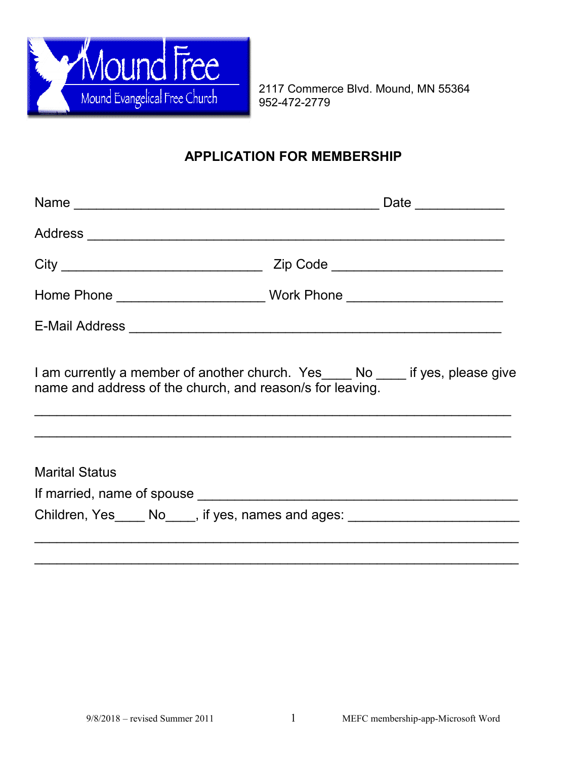

2117 Commerce Blvd. Mound, MN 55364

## **APPLICATION FOR MEMBERSHIP**

| name and address of the church, and reason/s for leaving. | I am currently a member of another church. Yes____ No ____ if yes, please give   |  |  |  |
|-----------------------------------------------------------|----------------------------------------------------------------------------------|--|--|--|
| <b>Marital Status</b>                                     | Children, Yes _____ No____, if yes, names and ages: ____________________________ |  |  |  |
|                                                           |                                                                                  |  |  |  |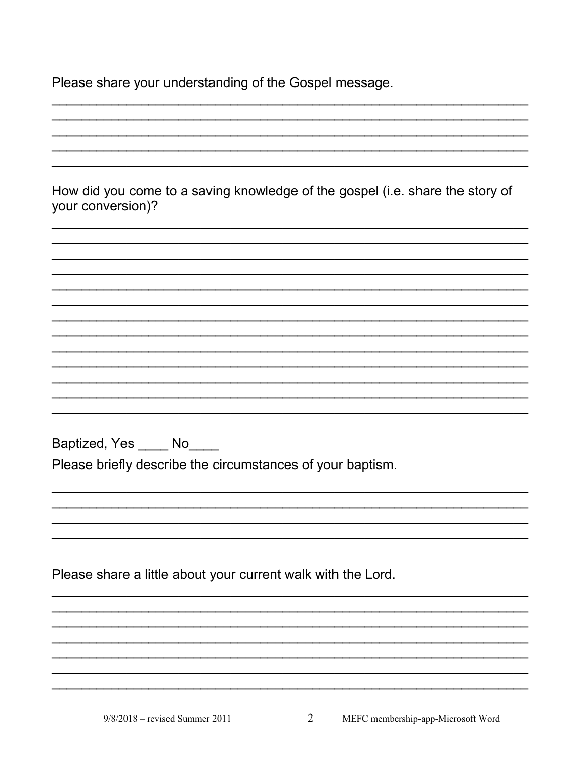Please share your understanding of the Gospel message.

How did you come to a saving knowledge of the gospel (i.e. share the story of your conversion)? Baptized, Yes \_\_\_\_\_ No\_\_\_\_ Please briefly describe the circumstances of your baptism. Please share a little about your current walk with the Lord.